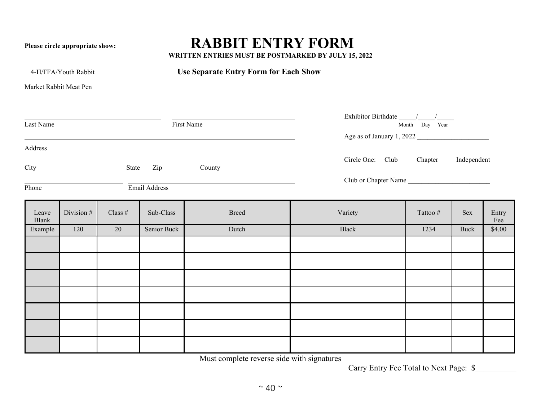## **Please circle appropriate show: RABBIT ENTRY FORM**

**WRITTEN ENTRIES MUST BE POSTMARKED BY JULY 15, 2022**

4-H/FFA/Youth Rabbit **Use Separate Entry Form for Each Show**

Market Rabbit Meat Pen

| First Name<br>Last Name    |            |                  |               |              | $\frac{1}{\rm{Exhibitor}\; Birthdate}-\frac{1}{\rm{Month}}\frac{1}{\rm{Day}}$<br>Age as of January 1, 2022 |          |             |              |  |  |
|----------------------------|------------|------------------|---------------|--------------|------------------------------------------------------------------------------------------------------------|----------|-------------|--------------|--|--|
| Address                    |            |                  |               |              |                                                                                                            |          |             |              |  |  |
| $\overline{\mathrm{City}}$ |            | State Zip County |               |              | Circle One: Club Chapter                                                                                   |          | Independent |              |  |  |
| Phone                      |            |                  | Email Address |              | Club or Chapter Name                                                                                       |          |             |              |  |  |
| Leave<br>Blank             | Division # | Class $\#$       | Sub-Class     | <b>Breed</b> | Variety                                                                                                    | Tattoo # | Sex         | Entry<br>Fee |  |  |
| Example                    | 120        | 20               | Senior Buck   | Dutch        | Black                                                                                                      | 1234     | Buck        | \$4.00       |  |  |
|                            |            |                  |               |              |                                                                                                            |          |             |              |  |  |
|                            |            |                  |               |              |                                                                                                            |          |             |              |  |  |
|                            |            |                  |               |              |                                                                                                            |          |             |              |  |  |
|                            |            |                  |               |              |                                                                                                            |          |             |              |  |  |
|                            |            |                  |               |              |                                                                                                            |          |             |              |  |  |
|                            |            |                  |               |              |                                                                                                            |          |             |              |  |  |
|                            |            |                  |               |              |                                                                                                            |          |             |              |  |  |

Must complete reverse side with signatures

Carry Entry Fee Total to Next Page: \$\_\_\_\_\_\_\_\_\_\_